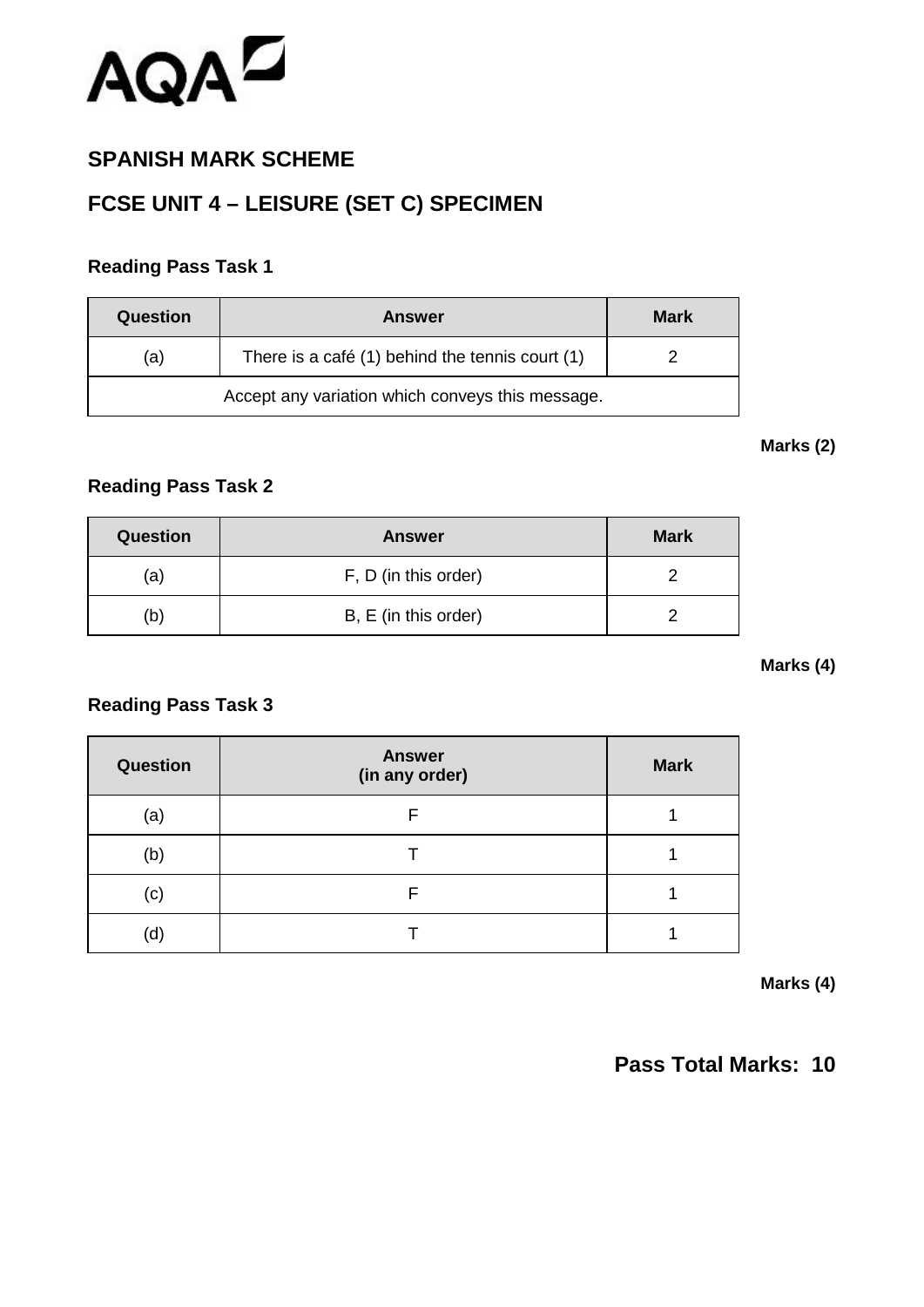

## **SPANISH MARK SCHEME**

# **FCSE UNIT 4 – LEISURE (SET C) SPECIMEN**

### **Reading Pass Task 1**

| Question                                         | <b>Answer</b>                                   | <b>Mark</b> |
|--------------------------------------------------|-------------------------------------------------|-------------|
| (a)                                              | There is a café (1) behind the tennis court (1) |             |
| Accept any variation which conveys this message. |                                                 |             |

#### **Marks (2)**

### **Reading Pass Task 2**

| <b>Question</b> | <b>Answer</b>        | <b>Mark</b> |
|-----------------|----------------------|-------------|
| (a)             | F, D (in this order) |             |
| b)              | B, E (in this order) |             |

#### **Marks (4)**

### **Reading Pass Task 3**

| <b>Question</b> | <b>Answer</b><br>(in any order) | <b>Mark</b> |
|-----------------|---------------------------------|-------------|
| (a)             | F                               |             |
| (b)             |                                 |             |
| (c)             | F                               |             |
| (d)             |                                 |             |

**Marks (4)**

## **Pass Total Marks: 10**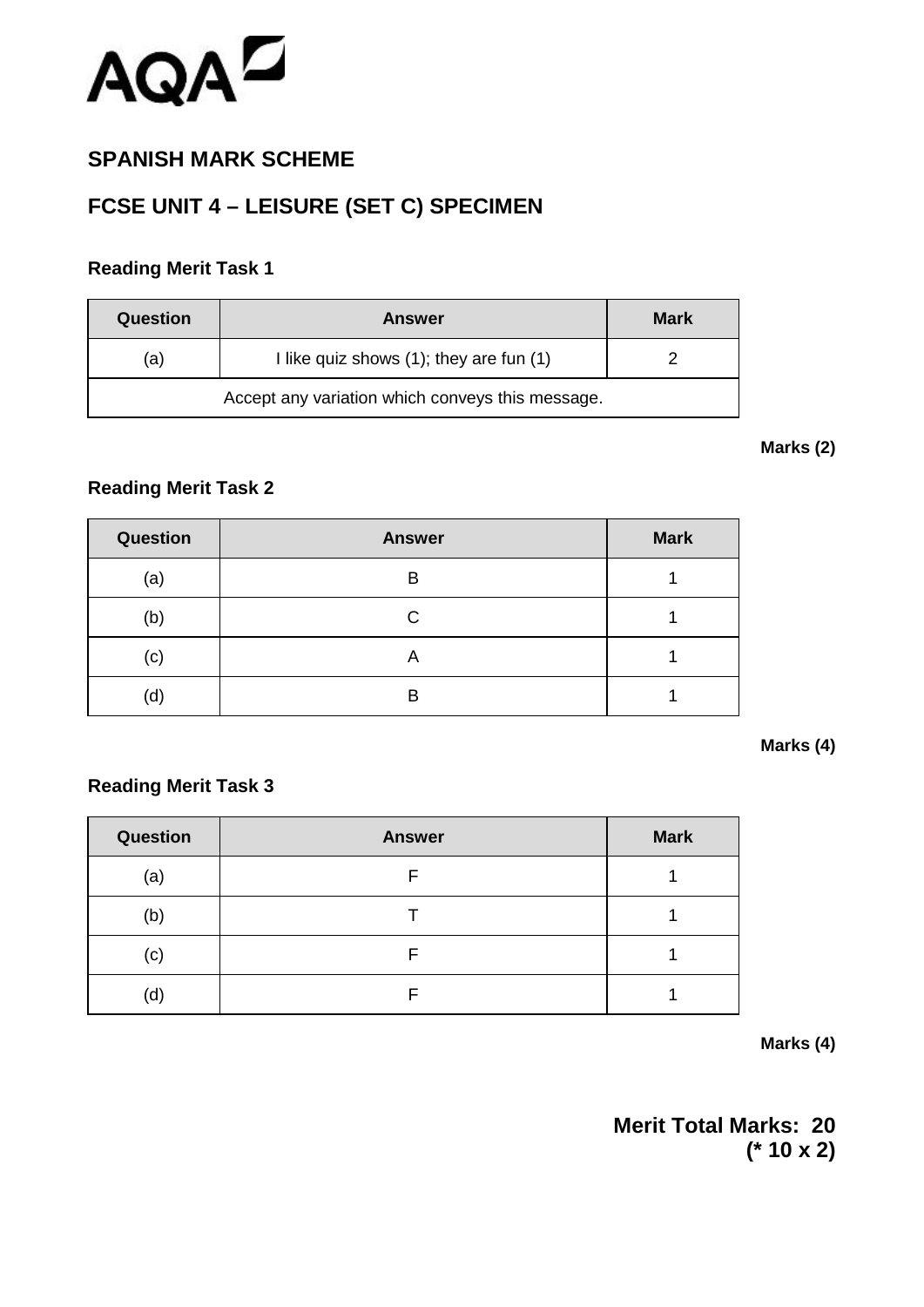

## **SPANISH MARK SCHEME**

# **FCSE UNIT 4 – LEISURE (SET C) SPECIMEN**

### **Reading Merit Task 1**

| Question | <b>Answer</b>                                | <b>Mark</b> |
|----------|----------------------------------------------|-------------|
| (a)      | I like quiz shows $(1)$ ; they are fun $(1)$ |             |
|          |                                              |             |

#### **Marks (2)**

## **Reading Merit Task 2**

| <b>Question</b> | <b>Answer</b> | <b>Mark</b> |
|-----------------|---------------|-------------|
| (a)             | B             |             |
| (b)             | С             |             |
| (c)             | Α             |             |
| (d)             | В             |             |

#### **Marks (4)**

### **Reading Merit Task 3**

| <b>Question</b> | <b>Answer</b> | <b>Mark</b> |
|-----------------|---------------|-------------|
| (a)             |               |             |
| (b)             |               |             |
| (c)             |               |             |
| (d)             |               |             |

#### **Marks (4)**

**Merit Total Marks: 20 (\* 10 x 2)**